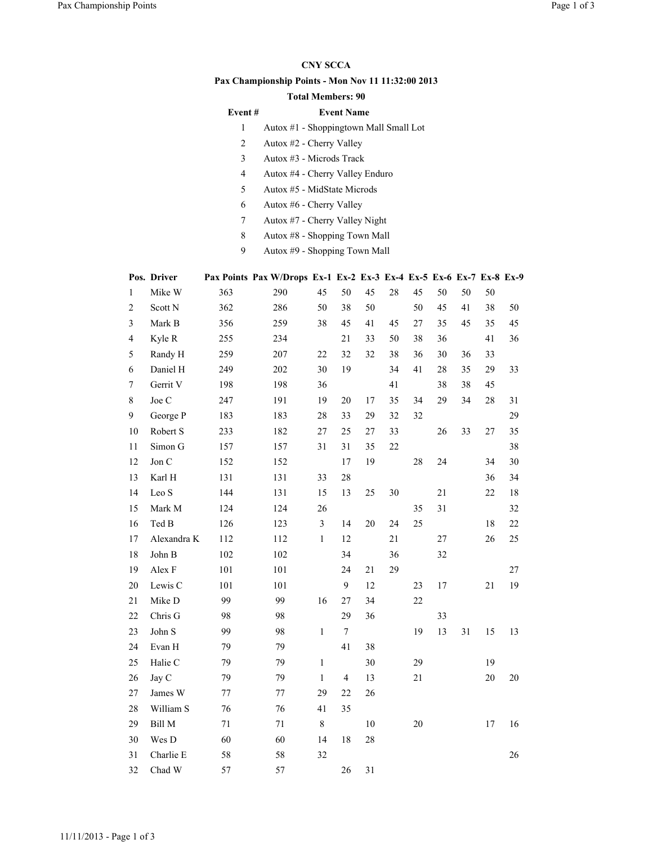## CNY SCCA

## Pax Championship Points - Mon Nov 11 11:32:00 2013

## Total Members: 90

| Event# |  |  | <b>Event Name</b> |  |  |  |
|--------|--|--|-------------------|--|--|--|
|        |  |  |                   |  |  |  |

- 1 Autox #1 Shoppingtown Mall Small Lot
- 2 Autox #2 Cherry Valley
- 3 Autox #3 Microds Track
- 4 Autox #4 Cherry Valley Enduro
- 5 Autox #5 MidState Microds
- 6 Autox #6 Cherry Valley
- 7 Autox #7 Cherry Valley Night
- 8 Autox #8 Shopping Town Mall
- 9 Autox #9 Shopping Town Mall

|                         | Pos. Driver |     | Pax Points Pax W/Drops Ex-1 Ex-2 Ex-3 Ex-4 Ex-5 Ex-6 Ex-7 Ex-8 Ex-9 |                         |                         |    |        |    |    |    |        |    |
|-------------------------|-------------|-----|---------------------------------------------------------------------|-------------------------|-------------------------|----|--------|----|----|----|--------|----|
| $\mathbf{1}$            | Mike W      | 363 | 290                                                                 | 45                      | 50                      | 45 | 28     | 45 | 50 | 50 | 50     |    |
| $\overline{c}$          | Scott N     | 362 | 286                                                                 | 50                      | 38                      | 50 |        | 50 | 45 | 41 | 38     | 50 |
| 3                       | Mark B      | 356 | 259                                                                 | 38                      | 45                      | 41 | 45     | 27 | 35 | 45 | 35     | 45 |
| $\overline{\mathbf{4}}$ | Kyle R      | 255 | 234                                                                 |                         | 21                      | 33 | 50     | 38 | 36 |    | 41     | 36 |
| 5                       | Randy H     | 259 | 207                                                                 | 22                      | 32                      | 32 | 38     | 36 | 30 | 36 | 33     |    |
| 6                       | Daniel H    | 249 | 202                                                                 | 30                      | 19                      |    | 34     | 41 | 28 | 35 | 29     | 33 |
| $\tau$                  | Gerrit V    | 198 | 198                                                                 | 36                      |                         |    | 41     |    | 38 | 38 | 45     |    |
| 8                       | Joe C       | 247 | 191                                                                 | 19                      | 20                      | 17 | 35     | 34 | 29 | 34 | 28     | 31 |
| 9                       | George P    | 183 | 183                                                                 | $28\,$                  | 33                      | 29 | 32     | 32 |    |    |        | 29 |
| 10                      | Robert S    | 233 | 182                                                                 | $27\,$                  | 25                      | 27 | 33     |    | 26 | 33 | 27     | 35 |
| 11                      | Simon G     | 157 | 157                                                                 | 31                      | 31                      | 35 | $22\,$ |    |    |    |        | 38 |
| 12                      | Jon C       | 152 | 152                                                                 |                         | 17                      | 19 |        | 28 | 24 |    | 34     | 30 |
| 13                      | Karl H      | 131 | 131                                                                 | 33                      | 28                      |    |        |    |    |    | 36     | 34 |
| 14                      | Leo S       | 144 | 131                                                                 | 15                      | 13                      | 25 | 30     |    | 21 |    | $22\,$ | 18 |
| 15                      | Mark M      | 124 | 124                                                                 | 26                      |                         |    |        | 35 | 31 |    |        | 32 |
| 16                      | Ted B       | 126 | 123                                                                 | $\overline{\mathbf{3}}$ | 14                      | 20 | 24     | 25 |    |    | 18     | 22 |
| 17                      | Alexandra K | 112 | 112                                                                 | $\mathbf{1}$            | 12                      |    | 21     |    | 27 |    | 26     | 25 |
| 18                      | John B      | 102 | 102                                                                 |                         | 34                      |    | 36     |    | 32 |    |        |    |
| 19                      | Alex F      | 101 | 101                                                                 |                         | 24                      | 21 | 29     |    |    |    |        | 27 |
| $20\,$                  | Lewis C     | 101 | 101                                                                 |                         | $\mathbf{9}$            | 12 |        | 23 | 17 |    | 21     | 19 |
| 21                      | Mike D      | 99  | 99                                                                  | 16                      | 27                      | 34 |        | 22 |    |    |        |    |
| 22                      | Chris G     | 98  | 98                                                                  |                         | 29                      | 36 |        |    | 33 |    |        |    |
| 23                      | John S      | 99  | 98                                                                  | $\mathbf{1}$            | $\tau$                  |    |        | 19 | 13 | 31 | 15     | 13 |
| 24                      | Evan H      | 79  | 79                                                                  |                         | 41                      | 38 |        |    |    |    |        |    |
| 25                      | Halie C     | 79  | 79                                                                  | $\mathbf{1}$            |                         | 30 |        | 29 |    |    | 19     |    |
| 26                      | Jay C       | 79  | 79                                                                  | $\mathbf{1}$            | $\overline{\mathbf{4}}$ | 13 |        | 21 |    |    | 20     | 20 |
| 27                      | James W     | 77  | 77                                                                  | 29                      | 22                      | 26 |        |    |    |    |        |    |
| 28                      | William S   | 76  | 76                                                                  | 41                      | 35                      |    |        |    |    |    |        |    |
| 29                      | Bill M      | 71  | 71                                                                  | $\,8\,$                 |                         | 10 |        | 20 |    |    | 17     | 16 |
| 30                      | Wes D       | 60  | 60                                                                  | 14                      | 18                      | 28 |        |    |    |    |        |    |
| 31                      | Charlie E   | 58  | 58                                                                  | 32                      |                         |    |        |    |    |    |        | 26 |
| 32                      | Chad W      | 57  | 57                                                                  |                         | 26                      | 31 |        |    |    |    |        |    |

## 11/11/2013 - Page 1 of 3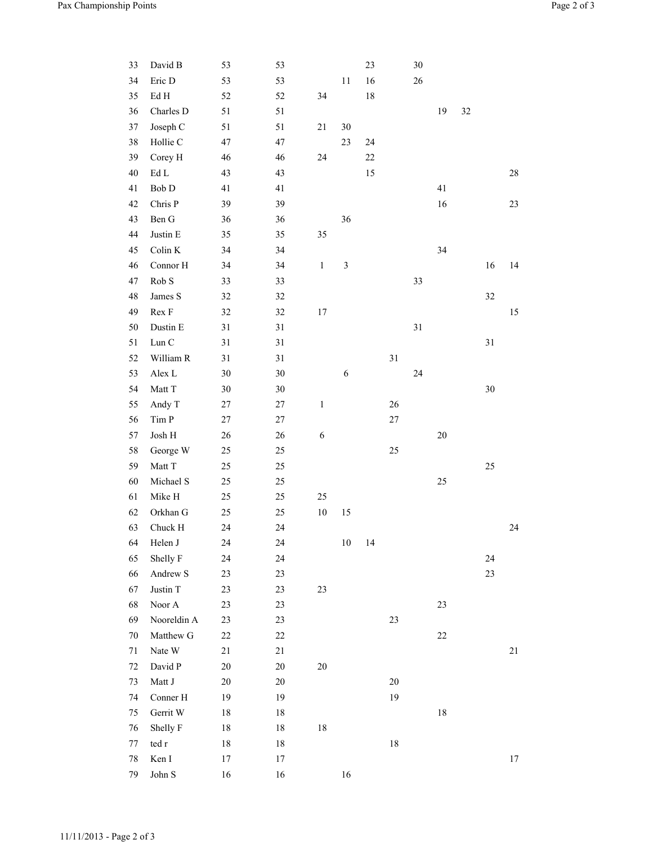| 33     | David B                 | 53     | 53     |              |                | 23     |        | 30 |        |        |    |    |
|--------|-------------------------|--------|--------|--------------|----------------|--------|--------|----|--------|--------|----|----|
| 34     | Eric D                  | 53     | 53     |              | 11             | 16     |        | 26 |        |        |    |    |
| 35     | $\rm Ed~H$              | 52     | 52     | 34           |                | $18\,$ |        |    |        |        |    |    |
| 36     | Charles D               | 51     | 51     |              |                |        |        |    | 19     | $32\,$ |    |    |
| 37     | Joseph C                | 51     | 51     | 21           | $30\,$         |        |        |    |        |        |    |    |
| 38     | Hollie C                | 47     | 47     |              | 23             | 24     |        |    |        |        |    |    |
| 39     | Corey H                 | 46     | 46     | 24           |                | $22\,$ |        |    |        |        |    |    |
| $40\,$ | $\rm Ed$ $\rm L$        | 43     | 43     |              |                | 15     |        |    |        |        |    | 28 |
| 41     | Bob D                   | 41     | 41     |              |                |        |        |    | 41     |        |    |    |
| 42     | Chris P                 | 39     | 39     |              |                |        |        |    | 16     |        |    | 23 |
| 43     | Ben G                   | 36     | 36     |              | 36             |        |        |    |        |        |    |    |
| 44     | Justin ${\bf E}$        | 35     | 35     | 35           |                |        |        |    |        |        |    |    |
| 45     | Colin K                 | 34     | 34     |              |                |        |        |    | 34     |        |    |    |
| 46     | Connor H                | 34     | 34     | $\mathbf 1$  | $\mathfrak{Z}$ |        |        |    |        |        | 16 | 14 |
| 47     | Rob S                   | 33     | 33     |              |                |        |        | 33 |        |        |    |    |
| 48     | James S                 | 32     | 32     |              |                |        |        |    |        |        | 32 |    |
| 49     | Rex F                   | 32     | 32     | 17           |                |        |        |    |        |        |    | 15 |
| 50     | Dustin E                | 31     | 31     |              |                |        |        | 31 |        |        |    |    |
| 51     | Lun C                   | 31     | 31     |              |                |        |        |    |        |        | 31 |    |
| 52     | William R               | 31     | 31     |              |                |        | 31     |    |        |        |    |    |
| 53     | Alex L                  | $30\,$ | $30\,$ |              | $\sqrt{6}$     |        |        | 24 |        |        |    |    |
| 54     | Matt T                  | 30     | 30     |              |                |        |        |    |        |        | 30 |    |
| 55     | Andy T                  | 27     | 27     | $\mathbf{1}$ |                |        | 26     |    |        |        |    |    |
| 56     | $\mbox{Tim}~\mbox{P}$   | 27     | 27     |              |                |        | $27\,$ |    |        |        |    |    |
| 57     | ${\rm Josh} \; {\rm H}$ | 26     | $26\,$ | $\sqrt{6}$   |                |        |        |    | $20\,$ |        |    |    |
| 58     | George W                | 25     | $25\,$ |              |                |        | 25     |    |        |        |    |    |
| 59     | Matt T                  | 25     | 25     |              |                |        |        |    |        |        | 25 |    |
| 60     | Michael S               | 25     | $25\,$ |              |                |        |        |    | $25\,$ |        |    |    |
| 61     | Mike H                  | 25     | 25     | 25           |                |        |        |    |        |        |    |    |
| 62     | Orkhan G                | 25     | 25     | $10\,$       | 15             |        |        |    |        |        |    |    |
| 63     | Chuck H                 | 24     | 24     |              |                |        |        |    |        |        |    | 24 |
| 64     | Helen J                 | 24     | 24     |              | $10\,$         | 14     |        |    |        |        |    |    |
| 65     | Shelly F                | 24     | 24     |              |                |        |        |    |        |        | 24 |    |
| 66     | Andrew S                | 23     | 23     |              |                |        |        |    |        |        | 23 |    |
| 67     | Justin T                | 23     | 23     | 23           |                |        |        |    |        |        |    |    |
| 68     | Noor A                  | 23     | 23     |              |                |        |        |    | 23     |        |    |    |
| 69     | Nooreldin A             | 23     | 23     |              |                |        | 23     |    |        |        |    |    |
| 70     | Matthew G               | 22     | $22\,$ |              |                |        |        |    | $22\,$ |        |    |    |
| 71     | Nate W                  | 21     | 21     |              |                |        |        |    |        |        |    | 21 |
| 72     | David P                 | $20\,$ | $20\,$ | $20\,$       |                |        |        |    |        |        |    |    |
| 73     | Matt J                  | $20\,$ | $20\,$ |              |                |        | $20\,$ |    |        |        |    |    |
| 74     | Conner H                | 19     | 19     |              |                |        | 19     |    |        |        |    |    |
| 75     | Gerrit W                | 18     | $18\,$ |              |                |        |        |    | $18\,$ |        |    |    |
| 76     | Shelly F                | 18     | 18     | 18           |                |        |        |    |        |        |    |    |
| 77     | $\,\text{ted}\,$ r      | 18     | $18\,$ |              |                |        | 18     |    |        |        |    |    |
| 78     | Ken I                   | 17     | 17     |              |                |        |        |    |        |        |    | 17 |
| 79     | John $\mathbf S$        | 16     | 16     |              | 16             |        |        |    |        |        |    |    |